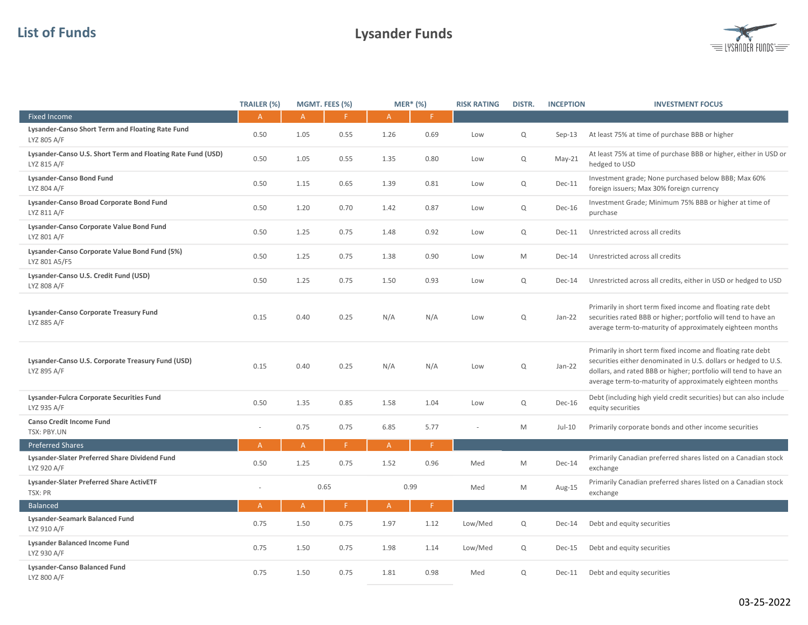## List of Funds Lysander Funds



|                                                                            | TRAILER (%)    |                | MGMT. FEES (%) | $MER*$ (%)   |      | <b>RISK RATING</b> | DISTR.      | <b>INCEPTION</b> | <b>INVESTMENT FOCUS</b>                                                                                                                                                                                                                                         |
|----------------------------------------------------------------------------|----------------|----------------|----------------|--------------|------|--------------------|-------------|------------------|-----------------------------------------------------------------------------------------------------------------------------------------------------------------------------------------------------------------------------------------------------------------|
| <b>Fixed Income</b>                                                        | A              | $\mathsf{A}$   | F              | $\mathsf{A}$ | F    |                    |             |                  |                                                                                                                                                                                                                                                                 |
| Lysander-Canso Short Term and Floating Rate Fund<br>LYZ 805 A/F            | 0.50           | 1.05           | 0.55           | 1.26         | 0.69 | Low                | $\mathsf Q$ | $Sep-13$         | At least 75% at time of purchase BBB or higher                                                                                                                                                                                                                  |
| Lysander-Canso U.S. Short Term and Floating Rate Fund (USD)<br>LYZ 815 A/F | 0.50           | 1.05           | 0.55           | 1.35         | 0.80 | Low                | Q           | $May-21$         | At least 75% at time of purchase BBB or higher, either in USD or<br>hedged to USD                                                                                                                                                                               |
| <b>Lysander-Canso Bond Fund</b><br>LYZ 804 A/F                             | 0.50           | 1.15           | 0.65           | 1.39         | 0.81 | Low                | $\mathsf Q$ | Dec-11           | Investment grade; None purchased below BBB; Max 60%<br>foreign issuers; Max 30% foreign currency                                                                                                                                                                |
| Lysander-Canso Broad Corporate Bond Fund<br>LYZ 811 A/F                    | 0.50           | 1.20           | 0.70           | 1.42         | 0.87 | Low                | $\mathsf Q$ | <b>Dec-16</b>    | Investment Grade; Minimum 75% BBB or higher at time of<br>purchase                                                                                                                                                                                              |
| Lysander-Canso Corporate Value Bond Fund<br>LYZ 801 A/F                    | 0.50           | 1.25           | 0.75           | 1.48         | 0.92 | Low                | Q           | <b>Dec-11</b>    | Unrestricted across all credits                                                                                                                                                                                                                                 |
| Lysander-Canso Corporate Value Bond Fund (5%)<br>LYZ 801 A5/F5             | 0.50           | 1.25           | 0.75           | 1.38         | 0.90 | Low                | M           | Dec-14           | Unrestricted across all credits                                                                                                                                                                                                                                 |
| Lysander-Canso U.S. Credit Fund (USD)<br>LYZ 808 A/F                       | 0.50           | 1.25           | 0.75           | 1.50         | 0.93 | Low                | Q           | Dec-14           | Unrestricted across all credits, either in USD or hedged to USD                                                                                                                                                                                                 |
| Lysander-Canso Corporate Treasury Fund<br>LYZ 885 A/F                      | 0.15           | 0.40           | 0.25           | N/A          | N/A  | Low                | Q           | Jan-22           | Primarily in short term fixed income and floating rate debt<br>securities rated BBB or higher; portfolio will tend to have an<br>average term-to-maturity of approximately eighteen months                                                                      |
| Lysander-Canso U.S. Corporate Treasury Fund (USD)<br>LYZ 895 A/F           | 0.15           | 0.40           | 0.25           | N/A          | N/A  | Low                | Q           | $Jan-22$         | Primarily in short term fixed income and floating rate debt<br>securities either denominated in U.S. dollars or hedged to U.S.<br>dollars, and rated BBB or higher; portfolio will tend to have an<br>average term-to-maturity of approximately eighteen months |
| Lysander-Fulcra Corporate Securities Fund<br>LYZ 935 A/F                   | 0.50           | 1.35           | 0.85           | 1.58         | 1.04 | Low                | Q           | Dec-16           | Debt (including high yield credit securities) but can also include<br>equity securities                                                                                                                                                                         |
| <b>Canso Credit Income Fund</b><br><b>TSX: PBY.UN</b>                      | $\sim$         | 0.75           | 0.75           | 6.85         | 5.77 |                    | M           | $Jul-10$         | Primarily corporate bonds and other income securities                                                                                                                                                                                                           |
| <b>Preferred Shares</b>                                                    | A              | $\overline{A}$ | F              | A            | F.   |                    |             |                  |                                                                                                                                                                                                                                                                 |
| Lysander-Slater Preferred Share Dividend Fund<br>LYZ 920 A/F               | 0.50           | 1.25           | 0.75           | 1.52         | 0.96 | Med                | M           | Dec-14           | Primarily Canadian preferred shares listed on a Canadian stock<br>exchange                                                                                                                                                                                      |
| Lysander-Slater Preferred Share ActivETF<br>TSX: PR                        | $\sim$         | 0.65           |                | 0.99         |      | Med                | M           | Aug-15           | Primarily Canadian preferred shares listed on a Canadian stock<br>exchange                                                                                                                                                                                      |
| <b>Balanced</b>                                                            | $\overline{A}$ | $\mathsf{A}$   | F.             | $\mathsf{A}$ | F.   |                    |             |                  |                                                                                                                                                                                                                                                                 |
| Lysander-Seamark Balanced Fund<br>LYZ 910 A/F                              | 0.75           | 1.50           | 0.75           | 1.97         | 1.12 | Low/Med            | $\mathsf Q$ | Dec-14           | Debt and equity securities                                                                                                                                                                                                                                      |
| <b>Lysander Balanced Income Fund</b><br>LYZ 930 A/F                        | 0.75           | 1.50           | 0.75           | 1.98         | 1.14 | Low/Med            | Q           | Dec-15           | Debt and equity securities                                                                                                                                                                                                                                      |
| <b>Lysander-Canso Balanced Fund</b><br>LYZ 800 A/F                         | 0.75           | 1.50           | 0.75           | 1.81         | 0.98 | Med                | $\mathsf Q$ | Dec-11           | Debt and equity securities                                                                                                                                                                                                                                      |